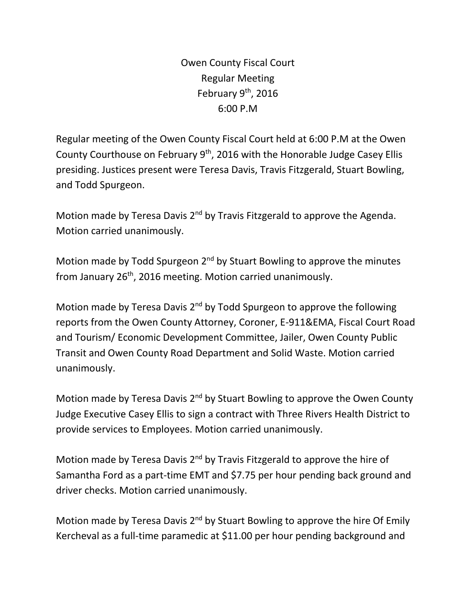Owen County Fiscal Court Regular Meeting February  $9<sup>th</sup>$ , 2016 6:00 P.M

Regular meeting of the Owen County Fiscal Court held at 6:00 P.M at the Owen County Courthouse on February 9<sup>th</sup>, 2016 with the Honorable Judge Casey Ellis presiding. Justices present were Teresa Davis, Travis Fitzgerald, Stuart Bowling, and Todd Spurgeon.

Motion made by Teresa Davis 2<sup>nd</sup> by Travis Fitzgerald to approve the Agenda. Motion carried unanimously.

Motion made by Todd Spurgeon 2<sup>nd</sup> by Stuart Bowling to approve the minutes from January 26<sup>th</sup>, 2016 meeting. Motion carried unanimously.

Motion made by Teresa Davis 2<sup>nd</sup> by Todd Spurgeon to approve the following reports from the Owen County Attorney, Coroner, E-911&EMA, Fiscal Court Road and Tourism/ Economic Development Committee, Jailer, Owen County Public Transit and Owen County Road Department and Solid Waste. Motion carried unanimously.

Motion made by Teresa Davis 2<sup>nd</sup> by Stuart Bowling to approve the Owen County Judge Executive Casey Ellis to sign a contract with Three Rivers Health District to provide services to Employees. Motion carried unanimously.

Motion made by Teresa Davis  $2^{nd}$  by Travis Fitzgerald to approve the hire of Samantha Ford as a part-time EMT and \$7.75 per hour pending back ground and driver checks. Motion carried unanimously.

Motion made by Teresa Davis 2<sup>nd</sup> by Stuart Bowling to approve the hire Of Emily Kercheval as a full-time paramedic at \$11.00 per hour pending background and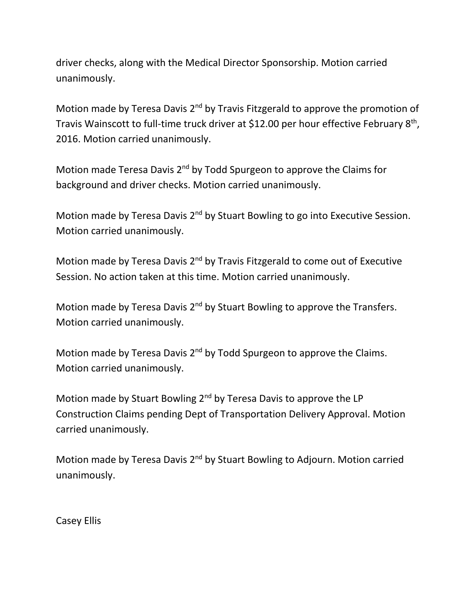driver checks, along with the Medical Director Sponsorship. Motion carried unanimously.

Motion made by Teresa Davis 2<sup>nd</sup> by Travis Fitzgerald to approve the promotion of Travis Wainscott to full-time truck driver at \$12.00 per hour effective February 8<sup>th</sup>, 2016. Motion carried unanimously.

Motion made Teresa Davis 2<sup>nd</sup> by Todd Spurgeon to approve the Claims for background and driver checks. Motion carried unanimously.

Motion made by Teresa Davis 2<sup>nd</sup> by Stuart Bowling to go into Executive Session. Motion carried unanimously.

Motion made by Teresa Davis 2<sup>nd</sup> by Travis Fitzgerald to come out of Executive Session. No action taken at this time. Motion carried unanimously.

Motion made by Teresa Davis 2<sup>nd</sup> by Stuart Bowling to approve the Transfers. Motion carried unanimously.

Motion made by Teresa Davis 2<sup>nd</sup> by Todd Spurgeon to approve the Claims. Motion carried unanimously.

Motion made by Stuart Bowling 2<sup>nd</sup> by Teresa Davis to approve the LP Construction Claims pending Dept of Transportation Delivery Approval. Motion carried unanimously.

Motion made by Teresa Davis 2<sup>nd</sup> by Stuart Bowling to Adjourn. Motion carried unanimously.

Casey Ellis